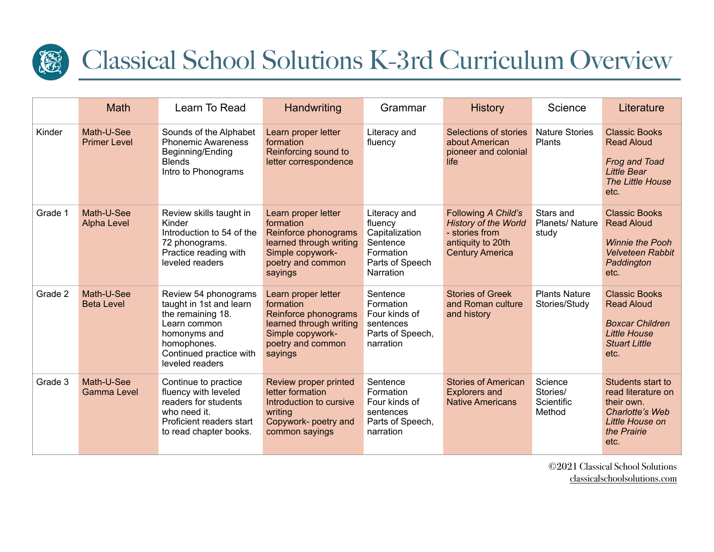

## Classical School Solutions K-3rd Curriculum Overview

|         | <b>Math</b>                       | Learn To Read                                                                                                                                                     | <b>Handwriting</b>                                                                                                                      | Grammar                                                                                                   | <b>History</b>                                                                                                      | Science                                     | Literature                                                                                                                 |
|---------|-----------------------------------|-------------------------------------------------------------------------------------------------------------------------------------------------------------------|-----------------------------------------------------------------------------------------------------------------------------------------|-----------------------------------------------------------------------------------------------------------|---------------------------------------------------------------------------------------------------------------------|---------------------------------------------|----------------------------------------------------------------------------------------------------------------------------|
| Kinder  | Math-U-See<br><b>Primer Level</b> | Sounds of the Alphabet<br><b>Phonemic Awareness</b><br>Beginning/Ending<br><b>Blends</b><br>Intro to Phonograms                                                   | Learn proper letter<br>formation<br>Reinforcing sound to<br>letter correspondence                                                       | Literacy and<br>fluency                                                                                   | Selections of stories<br>about American<br>pioneer and colonial<br>life                                             | <b>Nature Stories</b><br><b>Plants</b>      | <b>Classic Books</b><br><b>Read Aloud</b><br><b>Frog and Toad</b><br><b>Little Bear</b><br><b>The Little House</b><br>etc. |
| Grade 1 | Math-U-See<br><b>Alpha Level</b>  | Review skills taught in<br>Kinder<br>Introduction to 54 of the<br>72 phonograms.<br>Practice reading with<br>leveled readers                                      | Learn proper letter<br>formation<br>Reinforce phonograms<br>learned through writing<br>Simple copywork-<br>poetry and common<br>sayings | Literacy and<br>fluency<br>Capitalization<br>Sentence<br>Formation<br>Parts of Speech<br><b>Narration</b> | Following A Child's<br><b>History of the World</b><br>- stories from<br>antiquity to 20th<br><b>Century America</b> | Stars and<br>Planets/Nature<br>study        | <b>Classic Books</b><br><b>Read Aloud</b><br><b>Winnie the Pooh</b><br>Velveteen Rabbit<br>Paddington<br>etc.              |
| Grade 2 | Math-U-See<br><b>Beta Level</b>   | Review 54 phonograms<br>taught in 1st and learn<br>the remaining 18.<br>Learn common<br>homonyms and<br>homophones.<br>Continued practice with<br>leveled readers | Learn proper letter<br>formation<br>Reinforce phonograms<br>learned through writing<br>Simple copywork-<br>poetry and common<br>sayings | Sentence<br>Formation<br>Four kinds of<br>sentences<br>Parts of Speech,<br>narration                      | <b>Stories of Greek</b><br>and Roman culture<br>and history                                                         | <b>Plants Nature</b><br>Stories/Study       | <b>Classic Books</b><br><b>Read Aloud</b><br><b>Boxcar Children</b><br><b>Little House</b><br><b>Stuart Little</b><br>etc. |
| Grade 3 | Math-U-See<br>Gamma Level         | Continue to practice<br>fluency with leveled<br>readers for students<br>who need it.<br>Proficient readers start<br>to read chapter books.                        | Review proper printed<br>letter formation<br>Introduction to cursive<br>writing<br>Copywork- poetry and<br>common sayings               | Sentence<br>Formation<br>Four kinds of<br>sentences<br>Parts of Speech,<br>narration                      | <b>Stories of American</b><br><b>Explorers and</b><br><b>Native Americans</b>                                       | Science<br>Stories/<br>Scientific<br>Method | Students start to<br>read literature on<br>their own.<br>Charlotte's Web<br>Little House on<br>the Prairie<br>etc.         |

©2021 Classical School Solutions [classicalschoolsolutions.com](http://classicalschoolsolutions.com)